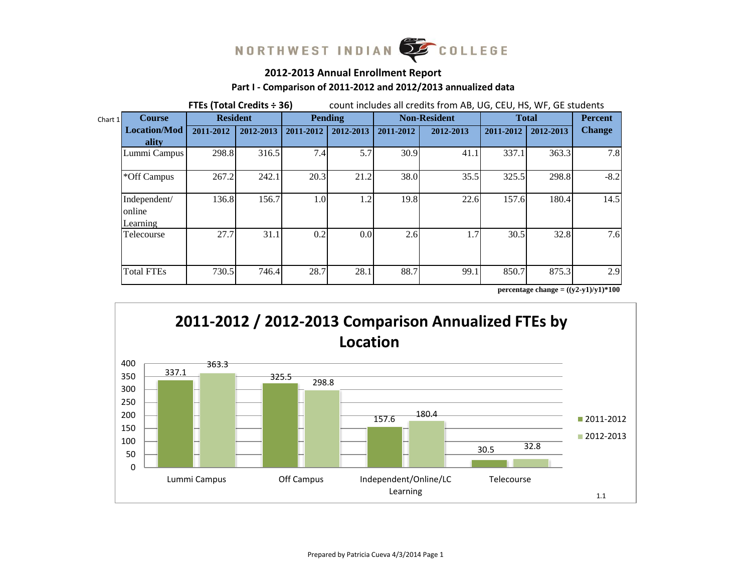

# **2012-2013 Annual Enrollment Report**

## **Part I - Comparison of 2011-2012 and 2012/2013 annualized data**

|         |                                        | FTEs (Total Credits ÷ 36) |           |           | count includes all credits from AB, UG, CEU, HS, WF, GE students |           |                     |              |                |               |  |  |  |
|---------|----------------------------------------|---------------------------|-----------|-----------|------------------------------------------------------------------|-----------|---------------------|--------------|----------------|---------------|--|--|--|
| Chart 1 | <b>Course</b>                          | <b>Resident</b>           |           |           | <b>Pending</b>                                                   |           | <b>Non-Resident</b> | <b>Total</b> | <b>Percent</b> |               |  |  |  |
|         | <b>Location/Mod</b><br>ality           | 2011-2012                 | 2012-2013 | 2011-2012 | 2012-2013                                                        | 2011-2012 | 2012-2013           | 2011-2012    | 2012-2013      | <b>Change</b> |  |  |  |
|         | Lummi Campus                           | 298.8                     | 316.5     | 7.4       | 5.7                                                              | 30.9      | 41.1                | 337.1        | 363.3          | 7.8           |  |  |  |
|         | *Off Campus                            | 267.2                     | 242.1     | 20.3      | 21.2                                                             | 38.0      | 35.5                | 325.5        | 298.8          | $-8.2$        |  |  |  |
|         | Independent/<br>online<br>Learning     | 136.8                     | 156.7     | 1.0       | 1.2                                                              | 19.8      | 22.6                | 157.6        | 180.4          | 14.5          |  |  |  |
|         | Telecourse                             | 27.7                      | 31.1      | 0.2       | 0.0                                                              | 2.6       | 1.7                 | 30.5         | 32.8           | 7.6           |  |  |  |
|         | <b>Total FTEs</b>                      | 730.5                     | 746.4     | 28.7      | 28.1                                                             | 88.7      | 99.1                | 850.7        | 875.3          | 2.9           |  |  |  |
|         | percentage change = $((y2-y1)/y1)*100$ |                           |           |           |                                                                  |           |                     |              |                |               |  |  |  |

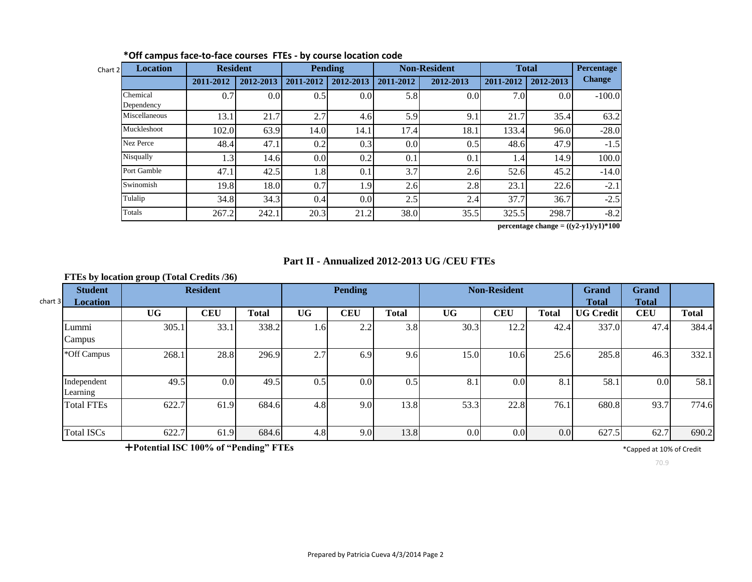| <b>Location</b><br>Chart 2 | <b>Resident</b> |                  | <b>Pending</b> |                  |           | <b>Non-Resident</b> | <b>Total</b> |                  | <b>Percentage</b> |
|----------------------------|-----------------|------------------|----------------|------------------|-----------|---------------------|--------------|------------------|-------------------|
|                            | 2011-2012       | 2012-2013        | 2011-2012      | 2012-2013        | 2011-2012 | 2012-2013           | 2011-2012    | 2012-2013        | <b>Change</b>     |
| Chemical<br>Dependency     | 0.7             | 0.0 <sub>l</sub> | 0.5            | 0.0              | 5.8       | 0.0                 | 7.0          | 0.0 <sub>l</sub> | $-100.0$          |
| Miscellaneous              | 13.1            | 21.7             | 2.7            | 4.6              | 5.9       | 9.1                 | 21.7         | 35.4             | 63.2              |
| Muckleshoot                | 102.0           | 63.9             | 14.0           | 14.1             | 17.4      | 18.1                | 133.4        | 96.0             | $-28.0$           |
| <b>Nez Perce</b>           | 48.4            | 47.1             | 0.2            | 0.3              | 0.0       | 0.5                 | 48.6         | 47.9             | $-1.5$            |
| Nisqually                  | 1.3             | 14.6             | 0.0            | 0.2              | 0.1       | 0.1                 | 1.4          | 14.9             | 100.0             |
| Port Gamble                | 47.1            | 42.5             | 1.8            | 0.1              | 3.7       | 2.6                 | 52.6         | 45.2             | $-14.0$           |
| Swinomish                  | 19.8            | 18.0             | 0.7            | 1.9              | 2.6       | 2.8                 | 23.1         | 22.6             | $-2.1$            |
| Tulalip                    | 34.8            | 34.3             | 0.4            | 0.0 <sub>l</sub> | 2.5       | 2.4                 | 37.7         | 36.7             | $-2.5$            |
| Totals                     | 267.2           | 242.1            | 20.3           | 21.2             | 38.0      | 35.5                | 325.5        | 298.7            | $-8.2$            |

#### **\*Off campus face-to-face courses FTEs - by course location code**

**percentage change = ((y2-y1)/y1)\*100**

# **Part II - Annualized 2012-2013 UG /CEU FTEs**

#### **FTEs by location group (Total Credits /36)**

| $chart$ 3 | <b>Student</b><br>Location |           | <b>Resident</b> |              |           | <b>Pending</b>   |              |                  | <b>Non-Resident</b> |              | Grand<br><b>Total</b> | <b>Grand</b><br><b>Total</b> |              |
|-----------|----------------------------|-----------|-----------------|--------------|-----------|------------------|--------------|------------------|---------------------|--------------|-----------------------|------------------------------|--------------|
|           |                            | <b>UG</b> | <b>CEU</b>      | <b>Total</b> | <b>UG</b> | <b>CEU</b>       | <b>Total</b> | <b>UG</b>        | <b>CEU</b>          | <b>Total</b> | <b>UG</b> Credit      | <b>CEU</b>                   | <b>Total</b> |
|           | Lummi<br>Campus            | 305.1     | 33.1            | 338.2        | 1.6       | 2.2              | 3.8          | 30.3             | 12.2                | 42.4         | 337.0                 | 47.4                         | 384.4        |
|           | *Off Campus                | 268.1     | 28.8            | 296.9        | 2.7       | 6.9              | 9.6          | 15.0             | 10.6                | 25.6         | 285.8                 | 46.3                         | 332.1        |
|           | Independent<br>Learning    | 49.5      | 0.0             | 49.5         | 0.5       | 0.0 <sub>l</sub> | 0.5          | 8.1              | 0.0                 | 8.1          | 58.                   | 0.0                          | 58.1         |
|           | <b>Total FTEs</b>          | 622.7     | 61.9            | 684.6        | 4.8       | 9.0              | 13.8         | 53.3             | 22.8                | 76.1         | 680.8                 | 93.7                         | 774.6        |
|           | <b>Total ISCs</b>          | 622.7     | 61.9            | 684.6        | 4.8       | 9.0              | 13.8         | 0.0 <sub>l</sub> | 0.0 <sub>l</sub>    | 0.0          | 627.5                 | 62.7                         | 690.2        |

**Potential ISC 100% of "Pending" FTEs** \*Capped at 10% of Credit

70.9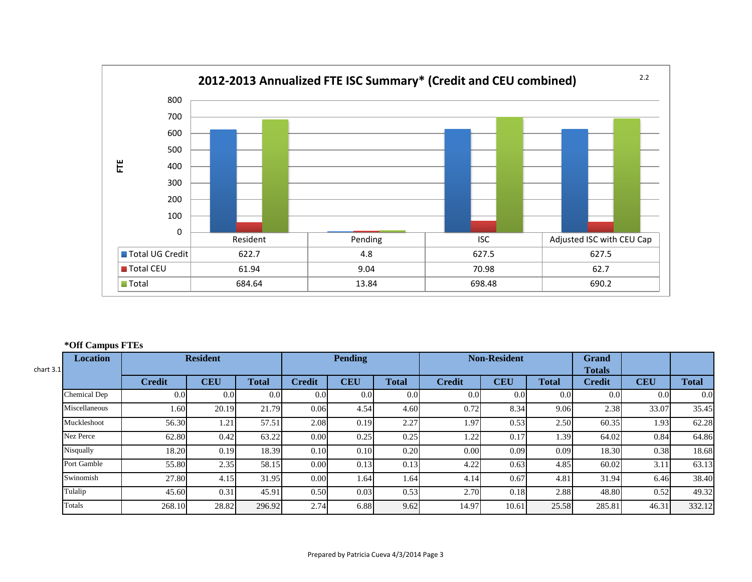

#### **\*Off Campus FTEs**

| chart $3.1$ | $\overline{\phantom{a}}$<br><b>Location</b> | <b>Resident</b> |            |              | <b>Pending</b> |            |              | <b>Non-Resident</b> |                  |              | <b>Grand</b><br><b>Totals</b> |            |              |
|-------------|---------------------------------------------|-----------------|------------|--------------|----------------|------------|--------------|---------------------|------------------|--------------|-------------------------------|------------|--------------|
|             |                                             | <b>Credit</b>   | <b>CEU</b> | <b>Total</b> | <b>Credit</b>  | <b>CEU</b> | <b>Total</b> | <b>Credit</b>       | <b>CEU</b>       | <b>Total</b> | <b>Credit</b>                 | <b>CEU</b> | <b>Total</b> |
|             | Chemical Dep                                | 0.0             | 0.0        | 0.0          | 0.0            | 0.0        | 0.0          | 0.0                 | 0.0 <sub>l</sub> | 0.0          | 0.0                           | 0.0        | 0.0          |
|             | Miscellaneous                               | 1.60            | 20.19      | 21.79        | 0.06           | 4.54       | 4.60         | 0.72                | 8.34             | 9.06         | 2.38                          | 33.07      | 35.45        |
|             | Muckleshoot                                 | 56.30           | 1.21       | 57.51        | 2.08           | 0.19       | 2.27         | 1.97                | 0.53             | 2.50         | 60.35                         | 1.93       | 62.28        |
|             | Nez Perce                                   | 62.80           | 0.42       | 63.22        | 0.00           | 0.25       | 0.25         | 1.22                | 0.17             | 1.39         | 64.02                         | 0.84       | 64.86        |
|             | Nisqually                                   | 18.20           | 0.19       | 18.39        | 0.10           | 0.10       | 0.20         | 0.00                | 0.09             | 0.09         | 18.30                         | 0.38       | 18.68        |
|             | Port Gamble                                 | 55.80           | 2.35       | 58.15        | 0.00           | 0.13       | 0.13         | 4.22                | 0.63             | 4.85         | 60.02                         | 3.11       | 63.13        |
|             | Swinomish                                   | 27.80           | 4.15       | 31.95        | 0.00           | 1.64       | 1.64         | 4.14                | 0.67             | 4.81         | 31.94                         | 6.46       | 38.40        |
|             | Tulalip                                     | 45.60           | 0.31       | 45.91        | 0.50           | 0.03       | 0.53         | 2.70                | 0.18             | 2.88         | 48.80                         | 0.52       | 49.32        |
|             | Totals                                      | 268.10          | 28.82      | 296.92       | 2.74           | 6.88       | 9.62         | 14.97               | 10.61            | 25.58        | 285.81                        | 46.31      | 332.12       |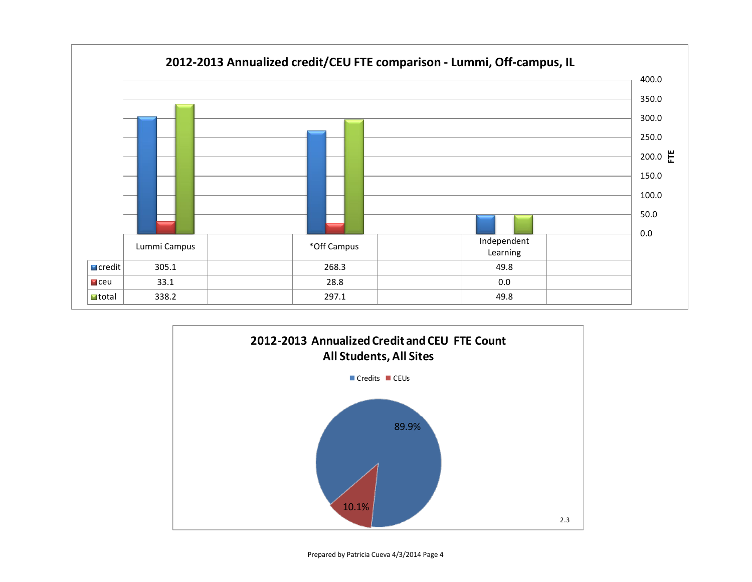



Prepared by Patricia Cueva 4/3/2014 Page 4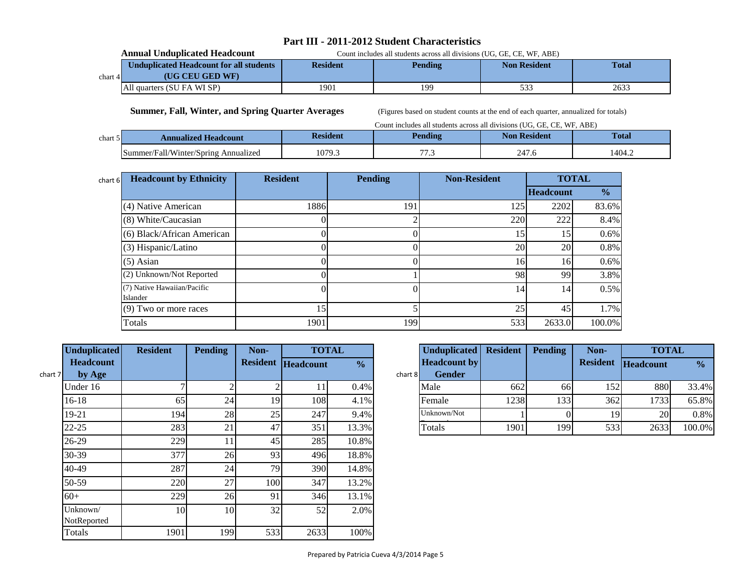# **Part III - 2011-2012 Student Characteristics**

|          | <b>Annual Unduplicated Headcount</b>    | Count includes all students across all divisions (UG, GE, CE, WF, ABE) |                |                     |              |  |  |  |
|----------|-----------------------------------------|------------------------------------------------------------------------|----------------|---------------------|--------------|--|--|--|
|          | Unduplicated Headcount for all students | <b>Resident</b>                                                        | <b>Pending</b> | <b>Non Resident</b> | <b>Total</b> |  |  |  |
| chart 41 | (UG CEU GED WF)                         |                                                                        |                |                     |              |  |  |  |
|          | All quarters (SU FA WI SP)              | 1901                                                                   | 199            | 533                 | 2633         |  |  |  |

 **Summer, Fall, Winter, and Spring Quarter Averages** (Figures based on student counts at the end of each quarter, annualized for totals)

|         | Count includes all students across all divisions (UG, GE, CE, WF, ABE) |                 |                |                     |              |  |  |  |  |  |  |
|---------|------------------------------------------------------------------------|-----------------|----------------|---------------------|--------------|--|--|--|--|--|--|
| chart 5 | <b>Annualized Headcount</b>                                            | <b>Resident</b> | <b>Pending</b> | <b>Non Resident</b> | <b>Total</b> |  |  |  |  |  |  |
|         | Summer/Fall/Winter/Spring Annualized                                   | 1079.3          | 77             | 247.6               | 1404.2       |  |  |  |  |  |  |

| chart 6 | <b>Headcount by Ethnicity</b>           | <b>Resident</b> | <b>Pending</b> | <b>Non-Resident</b> |                  | <b>TOTAL</b>  |
|---------|-----------------------------------------|-----------------|----------------|---------------------|------------------|---------------|
|         |                                         |                 |                |                     | <b>Headcount</b> | $\frac{0}{0}$ |
|         | (4) Native American                     | 1886            | 191            | 125                 | 2202             | 83.6%         |
|         | (8) White/Caucasian                     |                 |                | 220                 | 222              | 8.4%          |
|         | (6) Black/African American              |                 |                | 15                  | 15               | 0.6%          |
|         | (3) Hispanic/Latino                     |                 |                | 20                  | 20               | 0.8%          |
|         | $(5)$ Asian                             |                 |                | 16                  | 16               | 0.6%          |
|         | (2) Unknown/Not Reported                |                 |                | 98                  | 99               | 3.8%          |
|         | (7) Native Hawaiian/Pacific<br>Islander |                 |                | 14                  | 14               | 0.5%          |
|         | $(9)$ Two or more races                 | 15.             |                | 25                  | 45               | 1.7%          |
|         | Totals                                  | 1901            | 199            | 533                 | 2633.0           | 100.0%        |

| <b>Unduplicated</b>     | <b>Resident</b> | <b>Pending</b> | Non-            |                  | <b>TOTAL</b>  |         | Unduplicat       |
|-------------------------|-----------------|----------------|-----------------|------------------|---------------|---------|------------------|
| <b>Headcount</b>        |                 |                | <b>Resident</b> | <b>Headcount</b> | $\frac{0}{0}$ |         | <b>Headcount</b> |
| by Age<br>chart 7       |                 |                |                 |                  |               | chart 8 | <b>Gender</b>    |
| Under 16                |                 | $\overline{c}$ | $\overline{c}$  | 11               | 0.4%          |         | Male             |
| $16-18$                 | 65              | 24             | 19              | 108              | 4.1%          |         | Female           |
| $19 - 21$               | 194             | 28             | 25              | 247              | 9.4%          |         | Unknown/Not      |
| $22 - 25$               | 283             | 21             | 47              | 351              | 13.3%         |         | Totals           |
| 26-29                   | 229             | 11             | 45              | 285              | 10.8%         |         |                  |
| 30-39                   | 377             | 26             | 93              | 496              | 18.8%         |         |                  |
| $40-49$                 | 287             | 24             | 79              | 390              | 14.8%         |         |                  |
| 50-59                   | 220             | 27             | 100             | 347              | 13.2%         |         |                  |
| $60+$                   | 229             | 26             | 91              | 346              | 13.1%         |         |                  |
| Unknown/<br>NotReported | 10 <sup>1</sup> | 10             | 32              | 52               | 2.0%          |         |                  |
| Totals                  | 1901            | 199            | 533             | 2633             | 100%          |         |                  |

| <b>Unduplicated</b> | <b>Resident</b> | <b>Pending</b> | Non- |                    | <b>TOTAL</b>  |         | <b>Unduplicated</b> | <b>Resident</b> | <b>Pending</b> | Non-            | <b>TOTAL</b> |               |
|---------------------|-----------------|----------------|------|--------------------|---------------|---------|---------------------|-----------------|----------------|-----------------|--------------|---------------|
| Headcount           |                 |                |      | Resident Headcount | $\frac{0}{0}$ |         | <b>Headcount by</b> |                 |                | <b>Resident</b> | Headcount    | $\frac{0}{0}$ |
| by Age              |                 |                |      |                    |               | chart 8 | <b>Gender</b>       |                 |                |                 |              |               |
| Under 16            |                 |                |      |                    | 0.4%          |         | Male                | 662             | 66             | 1521            | 880          | 33.4%         |
| 16-18               | 65              | 24             | 191  | 108                | 4.1%          |         | Female              | 1238            | 133            | 362             | 1733         | 65.8%         |
| 19-21               | 194             | 28             | 25   | 247                | 9.4%          |         | Unknown/Not         |                 |                | 19              | <b>20</b>    | 0.8%          |
| 22-25               | 283             | 21             | 47   | 351                | 13.3%         |         | Totals              | 1901            | 199            | 533             | 2633         | 100.0%        |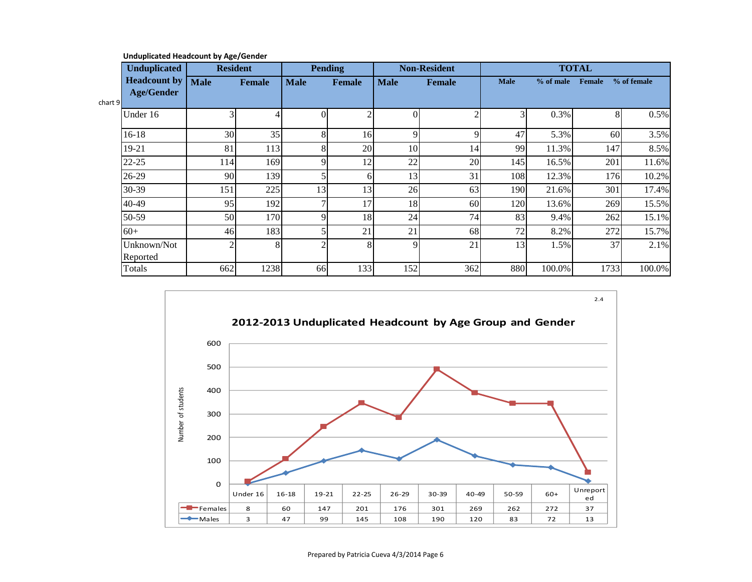|         | <b>Unduplicated</b>     | <b>Resident</b> |        |             | <b>Pending</b> |             | <b>Non-Resident</b> |             |             | <b>TOTAL</b> |             |
|---------|-------------------------|-----------------|--------|-------------|----------------|-------------|---------------------|-------------|-------------|--------------|-------------|
|         | <b>Headcount by</b>     | <b>Male</b>     | Female | <b>Male</b> | <b>Female</b>  | <b>Male</b> | Female              | <b>Male</b> | $%$ of male | Female       | % of female |
| chart 9 | <b>Age/Gender</b>       |                 |        |             |                |             |                     |             |             |              |             |
|         | Under 16                | 3               |        |             | ◠              | ΩI          |                     |             | 0.3%        | 8            | 0.5%        |
|         | $16-18$                 | 30              | 35     | 8           | 16             | $\mathbf Q$ | $\mathbf Q$         | 47          | 5.3%        | 60           | 3.5%        |
|         | 19-21                   | 81              | 113    |             | 20             | 10          | 14                  | 99          | 11.3%       | 147          | 8.5%        |
|         | $22 - 25$               | 114             | 169    |             | 12             | 22          | 20                  | 145         | 16.5%       | 201          | 11.6%       |
|         | 26-29                   | 90              | 139    |             | 6              | 13          | 31                  | 108         | 12.3%       | 176          | 10.2%       |
|         | 30-39                   | 151             | 225    | 13          | 13             | 26          | 63                  | 190         | 21.6%       | 301          | 17.4%       |
|         | 40-49                   | 95              | 192    |             | 17             | 18          | 60                  | 120         | 13.6%       | 269          | 15.5%       |
|         | 50-59                   | 50              | 170    |             | 18             | 24          | 74                  | 83          | 9.4%        | 262          | 15.1%       |
|         | $60+$                   | 46              | 183    |             | 21             | 21          | 68                  | 72          | 8.2%        | 272          | 15.7%       |
|         | Unknown/Not<br>Reported |                 | 8      |             |                | $\mathbf Q$ | 21                  | 13          | 1.5%        | 37           | 2.1%        |
|         | Totals                  | 662             | 1238   | 66          | 133            | 152         | 362                 | 880         | 100.0%      | 1733         | 100.0%      |

**Unduplicated Headcount by Age/Gender**

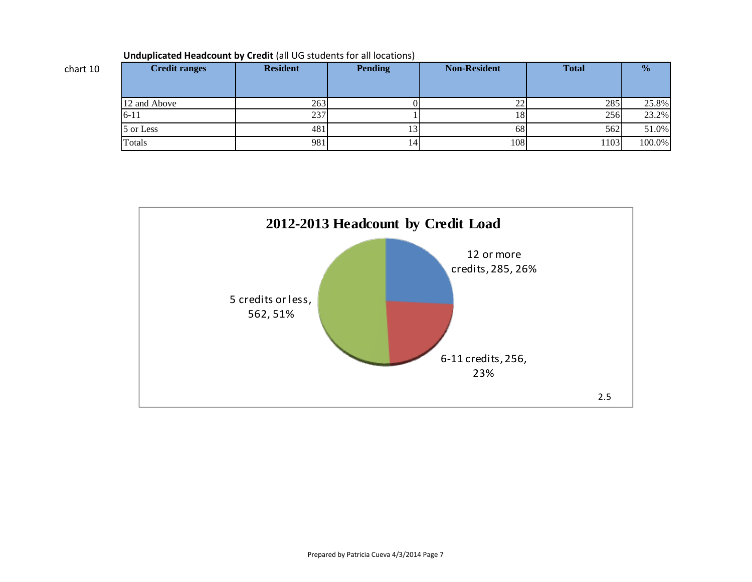| <b>Credit ranges</b> | <b>Resident</b> | <b>Pending</b> | <b>Non-Resident</b> | <b>Total</b> | $\frac{0}{0}$ |
|----------------------|-----------------|----------------|---------------------|--------------|---------------|
|                      |                 |                |                     |              |               |
| 12 and Above         | 263             |                | າາ<br>∠∠            | 285          | 25.8%         |
| $6 - 11$             | 237             |                | 181                 | 256          | 23.2%         |
| 5 or Less            | 481             | IJ             | 68I                 | 562          | 51.0%         |
| Totals               | 981             | 14             | 108                 | 1103         | 100.0%        |



chart 10

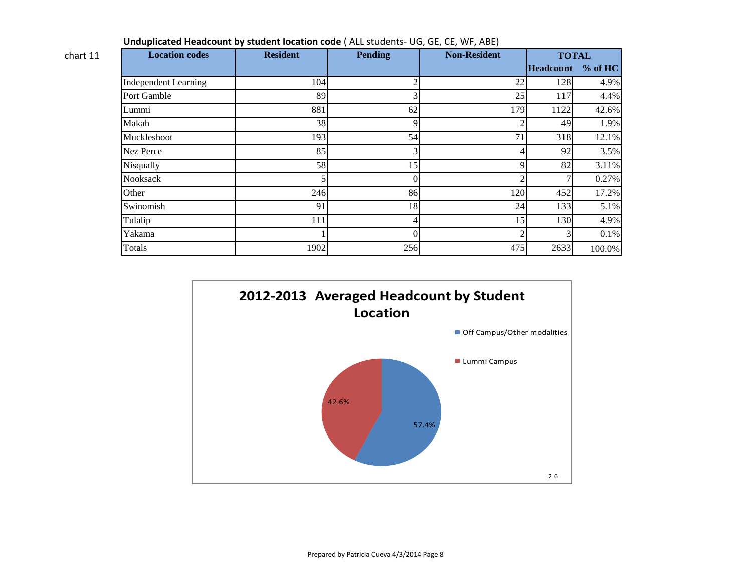| <b>Location codes</b>       | <b>Resident</b> | <b>Pending</b> | <b>Non-Resident</b> | <b>TOTAL</b>      |        |
|-----------------------------|-----------------|----------------|---------------------|-------------------|--------|
|                             |                 |                |                     | Headcount % of HC |        |
| <b>Independent Learning</b> | 104             | $\mathfrak{D}$ | 22                  | 128               | 4.9%   |
| Port Gamble                 | 89              | 3              | 25                  | 117               | 4.4%   |
| Lummi                       | 881             | 62             | 179                 | 1122              | 42.6%  |
| Makah                       | 38              | 9              | $\overline{2}$      | 49                | 1.9%   |
| Muckleshoot                 | 193             | 54             | 71                  | 318               | 12.1%  |
| Nez Perce                   | 85              | 3              | 4                   | 92                | 3.5%   |
| Nisqually                   | 58              | 15             | 9                   | 82                | 3.11%  |
| <b>Nooksack</b>             |                 | $\Omega$       | $\overline{c}$      |                   | 0.27%  |
| Other                       | 246             | 86             | 120                 | 452               | 17.2%  |
| Swinomish                   | 91              | 18             | 24                  | 133               | 5.1%   |
| Tulalip                     | 111             | 4              | 15                  | 130               | 4.9%   |
| Yakama                      |                 | $\theta$       | $\overline{c}$      |                   | 0.1%   |
| Totals                      | 1902            | 256            | 475                 | 2633              | 100.0% |

**Unduplicated Headcount by student location code** ( ALL students- UG, GE, CE, WF, ABE)

chart 11

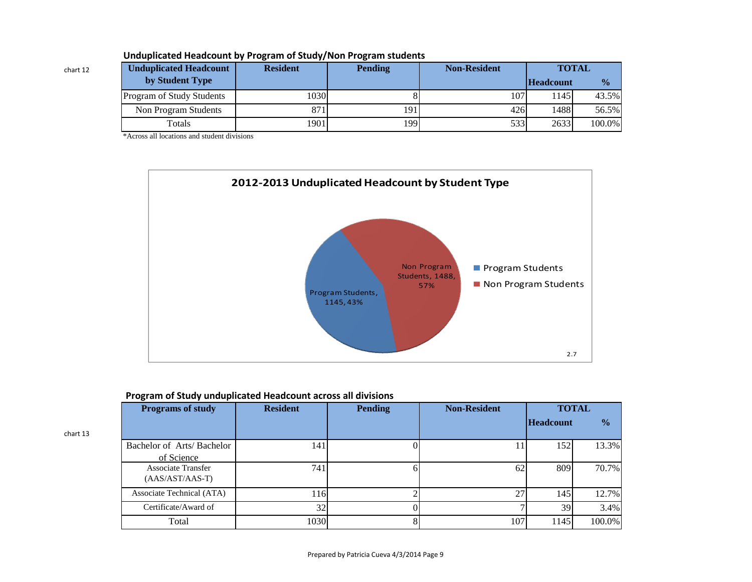| <b>Unduplicated Headcount</b> | <b>Resident</b> | <b>Pending</b> | <b>Non-Resident</b> | <b>TOTAL</b>     |               |
|-------------------------------|-----------------|----------------|---------------------|------------------|---------------|
| by Student Type               |                 |                |                     | <b>Headcount</b> | $\frac{0}{0}$ |
| Program of Study Students     | 1030            |                | 107                 | 145              | 43.5%         |
| Non Program Students          | 871             | 1911           | 426                 | 1488             | 56.5%         |
| Totals                        | 1901            | 1991           | 533                 | 2633             | 100.0%        |

# **Unduplicated Headcount by Program of Study/Non Program students**

\*Across all locations and student divisions

chart 12

chart 13



# **Program of Study unduplicated Headcount across all divisions**

| <b>Programs of study</b>                       | <b>Resident</b> | <b>Pending</b> | <b>Non-Resident</b> | <b>TOTAL</b>     |               |
|------------------------------------------------|-----------------|----------------|---------------------|------------------|---------------|
|                                                |                 |                |                     | <b>Headcount</b> | $\frac{1}{2}$ |
| Bachelor of Arts/Bachelor<br>of Science        | 141             |                |                     | 152              | 13.3%         |
| <b>Associate Transfer</b><br>$(AAS/AST/AAS-T)$ | 741             |                | 62                  | 809              | 70.7%         |
| Associate Technical (ATA)                      | 116             |                | 27                  | 145              | 12.7%         |
| Certificate/Award of                           | 32              |                |                     | 39               | 3.4%          |
| Total                                          | 1030            |                | 107                 | 1145             | 100.0%        |